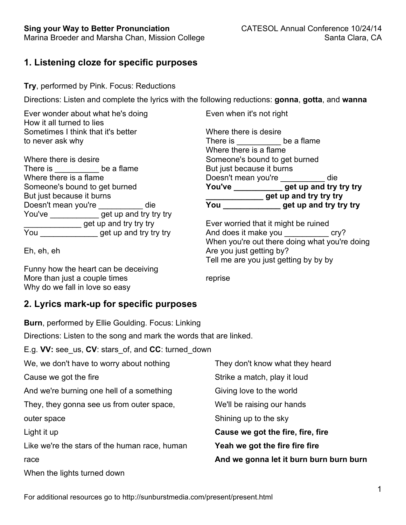### **1. Listening cloze for specific purposes**

**Try**, performed by Pink. Focus: Reductions

Directions: Listen and complete the lyrics with the following reductions: **gonna**, **gotta**, and **wanna**

Ever wonder about what he's doing How it all turned to lies Sometimes I think that it's better to never ask why

Where there is desire There is be a flame Where there is a flame Someone's bound to get burned But just because it burns Doesn't mean you're \_\_\_\_\_\_\_\_\_\_ die You've \_\_\_\_\_\_\_\_\_\_\_\_\_get up and try try try example and try try try try try try You \_\_\_\_\_\_\_\_\_\_\_\_\_\_\_ get up and try try try

Eh, eh, eh

Funny how the heart can be deceiving More than just a couple times Why do we fall in love so easy

Even when it's not right

Where there is desire There is be a flame Where there is a flame Someone's bound to get burned But just because it burns Doesn't mean you're \_\_\_\_\_\_\_\_\_\_ die **You've \_\_\_\_\_\_\_\_\_\_\_ get up and try try try \_\_\_\_\_\_\_\_\_\_\_\_\_ get up and try try try You \_\_\_\_\_\_\_\_\_\_\_\_\_ get up and try try try**

Ever worried that it might be ruined And does it make you \_\_\_\_\_\_\_\_\_\_ cry? When you're out there doing what you're doing Are you just getting by? Tell me are you just getting by by by

reprise

### **2. Lyrics mark-up for specific purposes**

**Burn**, performed by Ellie Goulding. Focus: Linking

Directions: Listen to the song and mark the words that are linked.

E.g. **VV:** see\_us, **CV**: stars\_of, and **CC**: turned\_down

| We, we don't have to worry about nothing      | They don't know what they heard                                                                                |  |  |
|-----------------------------------------------|----------------------------------------------------------------------------------------------------------------|--|--|
| Cause we got the fire                         | Strike a match, play it loud                                                                                   |  |  |
| And we're burning one hell of a something     | Giving love to the world                                                                                       |  |  |
| They, they gonna see us from outer space,     | We'll be raising our hands                                                                                     |  |  |
| outer space                                   | Shining up to the sky                                                                                          |  |  |
| Light it up                                   | Cause we got the fire, fire, fire<br>Yeah we got the fire fire fire<br>And we gonna let it burn burn burn burn |  |  |
| Like we're the stars of the human race, human |                                                                                                                |  |  |
| race                                          |                                                                                                                |  |  |
| When the lights turned down                   |                                                                                                                |  |  |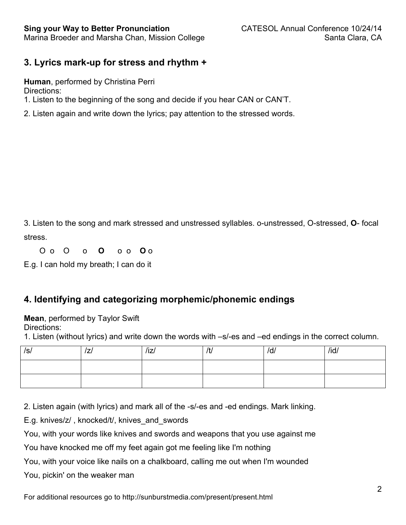### **3. Lyrics mark-up for stress and rhythm +**

**Human**, performed by Christina Perri

Directions:

- 1. Listen to the beginning of the song and decide if you hear CAN or CAN'T.
- 2. Listen again and write down the lyrics; pay attention to the stressed words.

3. Listen to the song and mark stressed and unstressed syllables. o-unstressed, O-stressed, **O**- focal stress.

O o O o **O** o o **O** o

E.g. I can hold my breath; I can do it

### **4. Identifying and categorizing morphemic/phonemic endings**

**Mean**, performed by Taylor Swift

Directions:

1. Listen (without lyrics) and write down the words with –s/-es and –ed endings in the correct column.

| /s/ | /z | /iz/ | /t/ | /d/ | /id/ |
|-----|----|------|-----|-----|------|
|     |    |      |     |     |      |
|     |    |      |     |     |      |

2. Listen again (with lyrics) and mark all of the -s/-es and -ed endings. Mark linking.

E.g. knives/z/ , knocked/t/, knives\_and\_swords

You, with your words like knives and swords and weapons that you use against me

You have knocked me off my feet again got me feeling like I'm nothing

You, with your voice like nails on a chalkboard, calling me out when I'm wounded

You, pickin' on the weaker man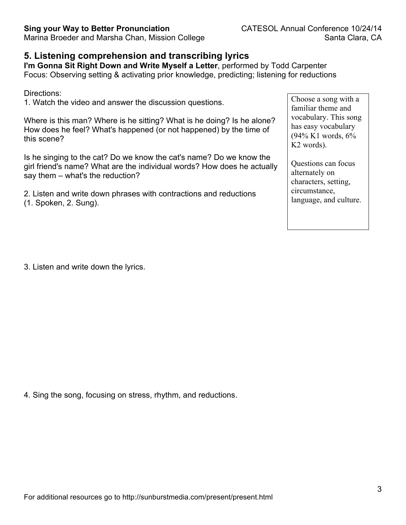Marina Broeder and Marsha Chan, Mission College Santa Chan Santa Clara, CA

#### **5. Listening comprehension and transcribing lyrics**

**I'm Gonna Sit Right Down and Write Myself a Letter**, performed by Todd Carpenter Focus: Observing setting & activating prior knowledge, predicting; listening for reductions

Directions:

1. Watch the video and answer the discussion questions.

Where is this man? Where is he sitting? What is he doing? Is he alone? How does he feel? What's happened (or not happened) by the time of this scene?

Is he singing to the cat? Do we know the cat's name? Do we know the girl friend's name? What are the individual words? How does he actually say them – what's the reduction?

2. Listen and write down phrases with contractions and reductions (1. Spoken, 2. Sung).

Choose a song with a familiar theme and vocabulary. This song has easy vocabulary (94% K1 words, 6% K2 words).

Questions can focus alternately on characters, setting, circumstance, language, and culture.

3. Listen and write down the lyrics.

4. Sing the song, focusing on stress, rhythm, and reductions.